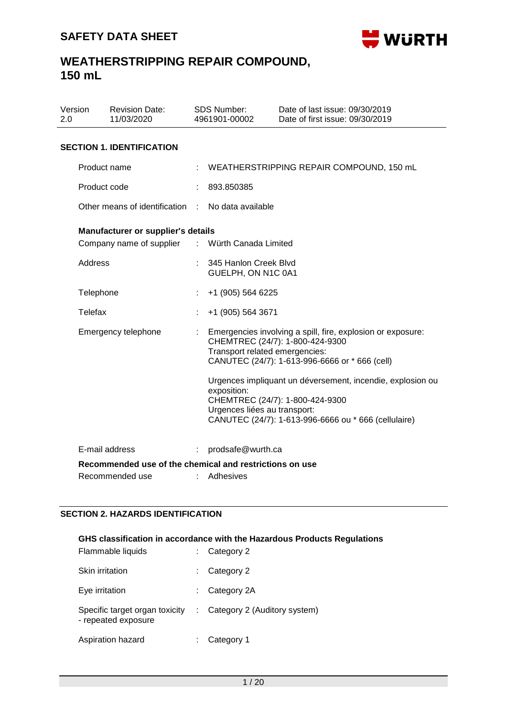

| Version<br>2.0 |                | <b>Revision Date:</b><br>11/03/2020                                       |    | <b>SDS Number:</b><br>4961901-00002                                           | Date of last issue: 09/30/2019<br>Date of first issue: 09/30/2019                                                                                                                                                                                 |
|----------------|----------------|---------------------------------------------------------------------------|----|-------------------------------------------------------------------------------|---------------------------------------------------------------------------------------------------------------------------------------------------------------------------------------------------------------------------------------------------|
|                |                | <b>SECTION 1. IDENTIFICATION</b>                                          |    |                                                                               |                                                                                                                                                                                                                                                   |
|                |                | Product name                                                              |    |                                                                               | WEATHERSTRIPPING REPAIR COMPOUND, 150 mL                                                                                                                                                                                                          |
|                | Product code   |                                                                           |    | 893.850385                                                                    |                                                                                                                                                                                                                                                   |
|                |                | Other means of identification                                             | ٠  | No data available                                                             |                                                                                                                                                                                                                                                   |
|                |                | <b>Manufacturer or supplier's details</b>                                 |    |                                                                               |                                                                                                                                                                                                                                                   |
|                |                | Company name of supplier                                                  |    | : Würth Canada Limited                                                        |                                                                                                                                                                                                                                                   |
|                | Address        |                                                                           |    | 345 Hanlon Creek Blvd<br>GUELPH, ON N1C 0A1                                   |                                                                                                                                                                                                                                                   |
|                | Telephone      |                                                                           |    | +1 (905) 564 6225                                                             |                                                                                                                                                                                                                                                   |
|                | <b>Telefax</b> |                                                                           |    | +1 (905) 564 3671                                                             |                                                                                                                                                                                                                                                   |
|                |                | Emergency telephone                                                       |    | Transport related emergencies:<br>exposition:<br>Urgences liées au transport: | Emergencies involving a spill, fire, explosion or exposure:<br>CHEMTREC (24/7): 1-800-424-9300<br>CANUTEC (24/7): 1-613-996-6666 or * 666 (cell)<br>Urgences impliquant un déversement, incendie, explosion ou<br>CHEMTREC (24/7): 1-800-424-9300 |
|                |                |                                                                           |    |                                                                               | CANUTEC (24/7): 1-613-996-6666 ou * 666 (cellulaire)                                                                                                                                                                                              |
|                |                | E-mail address<br>Recommended use of the chemical and restrictions on use | t. | prodsafe@wurth.ca                                                             |                                                                                                                                                                                                                                                   |
|                |                | Recommended use                                                           |    | Adhesives                                                                     |                                                                                                                                                                                                                                                   |

### **SECTION 2. HAZARDS IDENTIFICATION**

### **GHS classification in accordance with the Hazardous Products Regulations**

| Flammable liquids                                     |    | Category 2                   |
|-------------------------------------------------------|----|------------------------------|
| Skin irritation                                       |    | Category 2                   |
| Eye irritation                                        |    | Category 2A                  |
| Specific target organ toxicity<br>- repeated exposure | ÷. | Category 2 (Auditory system) |
| Aspiration hazard                                     | ÷  | Category 1                   |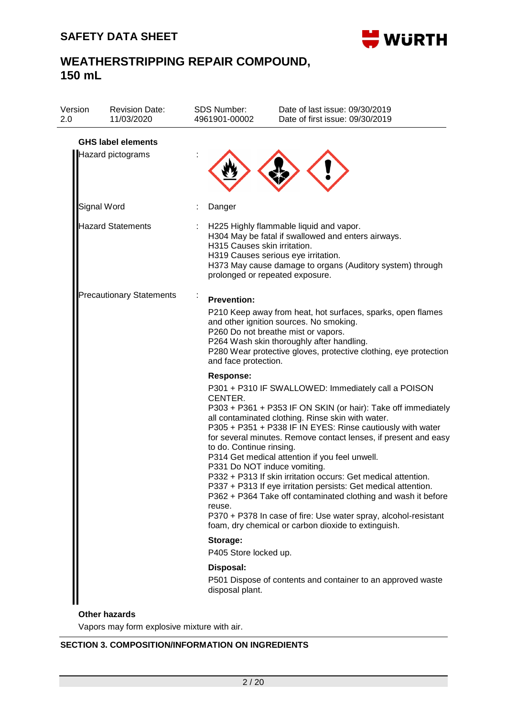

| <b>Revision Date:</b><br>11/03/2020 | <b>SDS Number:</b><br>4961901-00002                                                                                          | Date of last issue: 09/30/2019<br>Date of first issue: 09/30/2019                                                                                                                                                                                                                                                                                                                                                                                                                                                                                                                                                                                                                                                          |
|-------------------------------------|------------------------------------------------------------------------------------------------------------------------------|----------------------------------------------------------------------------------------------------------------------------------------------------------------------------------------------------------------------------------------------------------------------------------------------------------------------------------------------------------------------------------------------------------------------------------------------------------------------------------------------------------------------------------------------------------------------------------------------------------------------------------------------------------------------------------------------------------------------------|
|                                     |                                                                                                                              |                                                                                                                                                                                                                                                                                                                                                                                                                                                                                                                                                                                                                                                                                                                            |
|                                     | Danger                                                                                                                       |                                                                                                                                                                                                                                                                                                                                                                                                                                                                                                                                                                                                                                                                                                                            |
|                                     |                                                                                                                              | H225 Highly flammable liquid and vapor.<br>H304 May be fatal if swallowed and enters airways.<br>H319 Causes serious eye irritation.<br>H373 May cause damage to organs (Auditory system) through<br>prolonged or repeated exposure.                                                                                                                                                                                                                                                                                                                                                                                                                                                                                       |
|                                     | <b>Prevention:</b>                                                                                                           | P210 Keep away from heat, hot surfaces, sparks, open flames<br>and other ignition sources. No smoking.<br>P260 Do not breathe mist or vapors.<br>P264 Wash skin thoroughly after handling.<br>P280 Wear protective gloves, protective clothing, eye protection                                                                                                                                                                                                                                                                                                                                                                                                                                                             |
|                                     | <b>Response:</b><br>CENTER.<br>reuse.                                                                                        | P301 + P310 IF SWALLOWED: Immediately call a POISON<br>P303 + P361 + P353 IF ON SKIN (or hair): Take off immediately<br>all contaminated clothing. Rinse skin with water.<br>P305 + P351 + P338 IF IN EYES: Rinse cautiously with water<br>for several minutes. Remove contact lenses, if present and easy<br>P314 Get medical attention if you feel unwell.<br>P331 Do NOT induce vomiting.<br>P332 + P313 If skin irritation occurs: Get medical attention.<br>P337 + P313 If eye irritation persists: Get medical attention.<br>P362 + P364 Take off contaminated clothing and wash it before<br>P370 + P378 In case of fire: Use water spray, alcohol-resistant<br>foam, dry chemical or carbon dioxide to extinguish. |
|                                     | Storage:                                                                                                                     |                                                                                                                                                                                                                                                                                                                                                                                                                                                                                                                                                                                                                                                                                                                            |
|                                     |                                                                                                                              |                                                                                                                                                                                                                                                                                                                                                                                                                                                                                                                                                                                                                                                                                                                            |
|                                     | disposal plant.                                                                                                              | P501 Dispose of contents and container to an approved waste                                                                                                                                                                                                                                                                                                                                                                                                                                                                                                                                                                                                                                                                |
|                                     | <b>GHS label elements</b><br>Hazard pictograms<br>Signal Word<br><b>Hazard Statements</b><br><b>Precautionary Statements</b> | H315 Causes skin irritation.<br>and face protection.<br>to do. Continue rinsing.<br>P405 Store locked up.<br>Disposal:                                                                                                                                                                                                                                                                                                                                                                                                                                                                                                                                                                                                     |

Vapors may form explosive mixture with air.

### **SECTION 3. COMPOSITION/INFORMATION ON INGREDIENTS**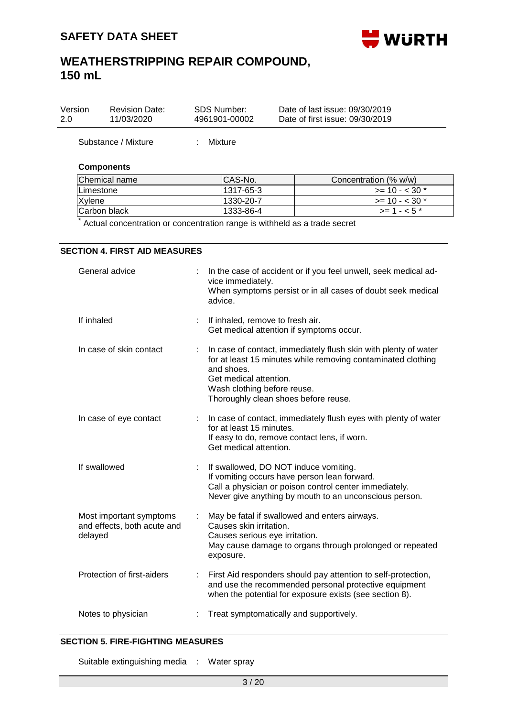

| Version | <b>Revision Date:</b> | SDS Number:   | Date of last issue: 09/30/2019  |  |
|---------|-----------------------|---------------|---------------------------------|--|
| 2.0     | 11/03/2020            | 4961901-00002 | Date of first issue: 09/30/2019 |  |
|         |                       |               |                                 |  |

Substance / Mixture : Mixture

**SECTION 4. FIRST AID MEASURES**

### **Components**

| Chemical name    | ICAS-No.  | Concentration (% w/w) |
|------------------|-----------|-----------------------|
| <b>Limestone</b> | 1317-65-3 | $>= 10 - < 30$ *      |
| Xylene           | 1330-20-7 | $>= 10 - < 30$ *      |
| Carbon black     | 1333-86-4 | $>= 1 - 5$            |

\* Actual concentration or concentration range is withheld as a trade secret

| General advice                                                    | In the case of accident or if you feel unwell, seek medical ad-<br>vice immediately.<br>When symptoms persist or in all cases of doubt seek medical<br>advice.                                                                                 |
|-------------------------------------------------------------------|------------------------------------------------------------------------------------------------------------------------------------------------------------------------------------------------------------------------------------------------|
| If inhaled                                                        | If inhaled, remove to fresh air.<br>Get medical attention if symptoms occur.                                                                                                                                                                   |
| In case of skin contact                                           | In case of contact, immediately flush skin with plenty of water<br>for at least 15 minutes while removing contaminated clothing<br>and shoes.<br>Get medical attention.<br>Wash clothing before reuse.<br>Thoroughly clean shoes before reuse. |
| In case of eye contact                                            | In case of contact, immediately flush eyes with plenty of water<br>for at least 15 minutes.<br>If easy to do, remove contact lens, if worn.<br>Get medical attention.                                                                          |
| If swallowed                                                      | If swallowed, DO NOT induce vomiting.<br>If vomiting occurs have person lean forward.<br>Call a physician or poison control center immediately.<br>Never give anything by mouth to an unconscious person.                                      |
| Most important symptoms<br>and effects, both acute and<br>delayed | May be fatal if swallowed and enters airways.<br>Causes skin irritation.<br>Causes serious eye irritation.<br>May cause damage to organs through prolonged or repeated<br>exposure.                                                            |
| Protection of first-aiders                                        | First Aid responders should pay attention to self-protection,<br>and use the recommended personal protective equipment<br>when the potential for exposure exists (see section 8).                                                              |
| Notes to physician                                                | Treat symptomatically and supportively.                                                                                                                                                                                                        |
|                                                                   |                                                                                                                                                                                                                                                |

### **SECTION 5. FIRE-FIGHTING MEASURES**

Suitable extinguishing media : Water spray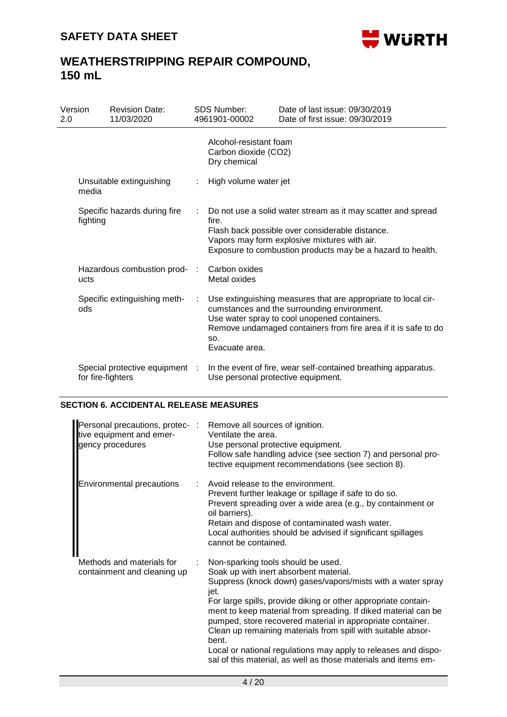

| Version<br>2.0 |                                          | <b>Revision Date:</b><br>11/03/2020 |                | <b>SDS Number:</b><br>4961901-00002                            | Date of last issue: 09/30/2019<br>Date of first issue: 09/30/2019                                                                                                                                                              |
|----------------|------------------------------------------|-------------------------------------|----------------|----------------------------------------------------------------|--------------------------------------------------------------------------------------------------------------------------------------------------------------------------------------------------------------------------------|
|                |                                          |                                     |                | Alcohol-resistant foam<br>Carbon dioxide (CO2)<br>Dry chemical |                                                                                                                                                                                                                                |
|                | media                                    | Unsuitable extinguishing            | ÷.             | High volume water jet                                          |                                                                                                                                                                                                                                |
|                | Specific hazards during fire<br>fighting |                                     | ÷              | fire.                                                          | Do not use a solid water stream as it may scatter and spread<br>Flash back possible over considerable distance.<br>Vapors may form explosive mixtures with air.<br>Exposure to combustion products may be a hazard to health.  |
|                | ucts                                     | Hazardous combustion prod-          | $\mathbb{R}^n$ | Carbon oxides<br>Metal oxides                                  |                                                                                                                                                                                                                                |
|                | ods                                      | Specific extinguishing meth-        | ÷              | SO.<br>Evacuate area.                                          | Use extinguishing measures that are appropriate to local cir-<br>cumstances and the surrounding environment.<br>Use water spray to cool unopened containers.<br>Remove undamaged containers from fire area if it is safe to do |
|                | for fire-fighters                        | Special protective equipment :      |                | Use personal protective equipment.                             | In the event of fire, wear self-contained breathing apparatus.                                                                                                                                                                 |

#### **SECTION 6. ACCIDENTAL RELEASE MEASURES**

| Personal precautions, protec- :<br>tive equipment and emer-<br>gency procedures | Remove all sources of ignition.<br>Ventilate the area.<br>Use personal protective equipment.<br>Follow safe handling advice (see section 7) and personal pro-<br>tective equipment recommendations (see section 8).                                                                                                                                                                                                                                                                                                                                                |
|---------------------------------------------------------------------------------|--------------------------------------------------------------------------------------------------------------------------------------------------------------------------------------------------------------------------------------------------------------------------------------------------------------------------------------------------------------------------------------------------------------------------------------------------------------------------------------------------------------------------------------------------------------------|
| Environmental precautions                                                       | Avoid release to the environment.<br>Prevent further leakage or spillage if safe to do so.<br>Prevent spreading over a wide area (e.g., by containment or<br>oil barriers).<br>Retain and dispose of contaminated wash water.<br>Local authorities should be advised if significant spillages<br>cannot be contained.                                                                                                                                                                                                                                              |
| Methods and materials for<br>containment and cleaning up                        | Non-sparking tools should be used.<br>Soak up with inert absorbent material.<br>Suppress (knock down) gases/vapors/mists with a water spray<br>jet.<br>For large spills, provide diking or other appropriate contain-<br>ment to keep material from spreading. If diked material can be<br>pumped, store recovered material in appropriate container.<br>Clean up remaining materials from spill with suitable absor-<br>bent.<br>Local or national regulations may apply to releases and dispo-<br>sal of this material, as well as those materials and items em- |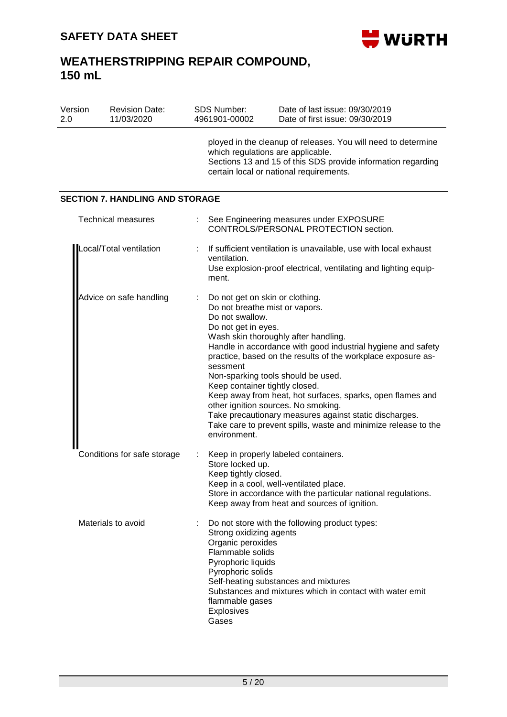

| Version<br>2.0 | <b>Revision Date:</b><br>11/03/2020    | SDS Number:<br>4961901-00002                                                                                                                                              | Date of last issue: 09/30/2019<br>Date of first issue: 09/30/2019                                                                                                                                                                                                                                                                                                                                                                           |
|----------------|----------------------------------------|---------------------------------------------------------------------------------------------------------------------------------------------------------------------------|---------------------------------------------------------------------------------------------------------------------------------------------------------------------------------------------------------------------------------------------------------------------------------------------------------------------------------------------------------------------------------------------------------------------------------------------|
|                |                                        | which regulations are applicable.                                                                                                                                         | ployed in the cleanup of releases. You will need to determine<br>Sections 13 and 15 of this SDS provide information regarding<br>certain local or national requirements.                                                                                                                                                                                                                                                                    |
|                | <b>SECTION 7. HANDLING AND STORAGE</b> |                                                                                                                                                                           |                                                                                                                                                                                                                                                                                                                                                                                                                                             |
|                | <b>Technical measures</b>              |                                                                                                                                                                           | See Engineering measures under EXPOSURE<br>CONTROLS/PERSONAL PROTECTION section.                                                                                                                                                                                                                                                                                                                                                            |
|                | Local/Total ventilation                | ventilation.<br>ment.                                                                                                                                                     | If sufficient ventilation is unavailable, use with local exhaust<br>Use explosion-proof electrical, ventilating and lighting equip-                                                                                                                                                                                                                                                                                                         |
|                | Advice on safe handling                | Do not get on skin or clothing.<br>Do not breathe mist or vapors.<br>Do not swallow.<br>Do not get in eyes.<br>sessment<br>Keep container tightly closed.<br>environment. | Wash skin thoroughly after handling.<br>Handle in accordance with good industrial hygiene and safety<br>practice, based on the results of the workplace exposure as-<br>Non-sparking tools should be used.<br>Keep away from heat, hot surfaces, sparks, open flames and<br>other ignition sources. No smoking.<br>Take precautionary measures against static discharges.<br>Take care to prevent spills, waste and minimize release to the |
|                | Conditions for safe storage            | Store locked up.<br>Keep tightly closed.                                                                                                                                  | Keep in properly labeled containers.<br>Keep in a cool, well-ventilated place.<br>Store in accordance with the particular national regulations.<br>Keep away from heat and sources of ignition.                                                                                                                                                                                                                                             |
|                | Materials to avoid                     | Strong oxidizing agents<br>Organic peroxides<br>Flammable solids<br>Pyrophoric liquids<br>Pyrophoric solids<br>flammable gases<br>Explosives<br>Gases                     | Do not store with the following product types:<br>Self-heating substances and mixtures<br>Substances and mixtures which in contact with water emit                                                                                                                                                                                                                                                                                          |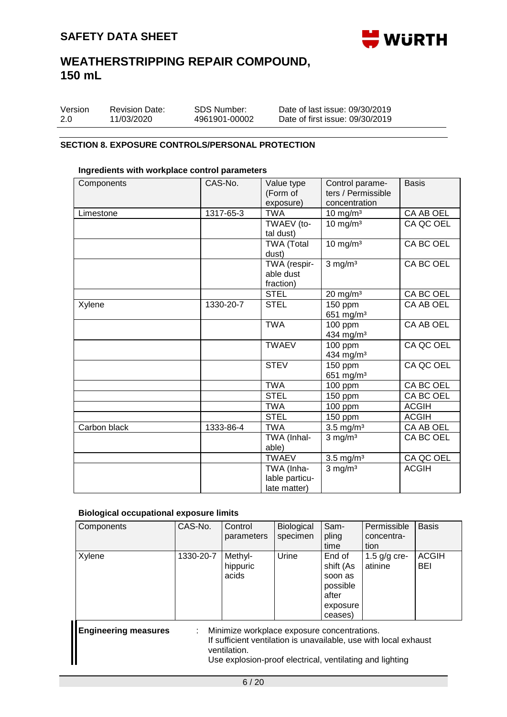

| Version | <b>Revision Date:</b> | SDS Number:   | Date of last issue: 09/30/2019  |
|---------|-----------------------|---------------|---------------------------------|
| 2.0     | 11/03/2020            | 4961901-00002 | Date of first issue: 09/30/2019 |

### **SECTION 8. EXPOSURE CONTROLS/PERSONAL PROTECTION**

#### **Ingredients with workplace control parameters**

| Components   | CAS-No.   | Value type<br>(Form of<br>exposure)          | Control parame-<br>ters / Permissible<br>concentration | <b>Basis</b> |
|--------------|-----------|----------------------------------------------|--------------------------------------------------------|--------------|
| Limestone    | 1317-65-3 | <b>TWA</b>                                   | $10$ mg/m <sup>3</sup>                                 | CA AB OEL    |
|              |           | TWAEV (to-<br>tal dust)                      | $10 \text{ mg/m}^3$                                    | CA QC OEL    |
|              |           | <b>TWA (Total</b><br>dust)                   | $10 \text{ mg/m}^3$                                    | CA BC OEL    |
|              |           | TWA (respir-<br>able dust<br>fraction)       | $3$ mg/m <sup>3</sup>                                  | CA BC OEL    |
|              |           | <b>STEL</b>                                  | $20 \text{ mg/m}^3$                                    | CA BC OEL    |
| Xylene       | 1330-20-7 | <b>STEL</b>                                  | 150 ppm<br>651 mg/m <sup>3</sup>                       | CA AB OEL    |
|              |           | <b>TWA</b>                                   | 100 ppm<br>434 mg/m <sup>3</sup>                       | CA AB OEL    |
|              |           | <b>TWAEV</b>                                 | 100 ppm<br>434 mg/m <sup>3</sup>                       | CA QC OEL    |
|              |           | <b>STEV</b>                                  | 150 ppm<br>651 mg/m <sup>3</sup>                       | CA QC OEL    |
|              |           | <b>TWA</b>                                   | $100$ ppm                                              | CA BC OEL    |
|              |           | <b>STEL</b>                                  | 150 ppm                                                | CA BC OEL    |
|              |           | <b>TWA</b>                                   | 100 ppm                                                | <b>ACGIH</b> |
|              |           | <b>STEL</b>                                  | 150 ppm                                                | <b>ACGIH</b> |
| Carbon black | 1333-86-4 | <b>TWA</b>                                   | $3.5$ mg/m <sup>3</sup>                                | CA AB OEL    |
|              |           | TWA (Inhal-<br>able)                         | $3$ mg/m <sup>3</sup>                                  | CA BC OEL    |
|              |           | <b>TWAEV</b>                                 | $3.5 \text{ mg/m}^3$                                   | CA QC OEL    |
|              |           | TWA (Inha-<br>lable particu-<br>late matter) | $3$ mg/m $3$                                           | <b>ACGIH</b> |

### **Biological occupational exposure limits**

| Components                  | CAS-No.                   | Control<br>parameters                                                                                                   | Biological<br>specimen | Sam-<br>pling<br>time                                                      | Permissible<br>concentra-<br>tion                                | <b>Basis</b>        |
|-----------------------------|---------------------------|-------------------------------------------------------------------------------------------------------------------------|------------------------|----------------------------------------------------------------------------|------------------------------------------------------------------|---------------------|
| Xylene                      | 1330-20-7                 | Methyl-<br>hippuric<br>acids                                                                                            | Urine                  | End of<br>shift (As<br>soon as<br>possible<br>after<br>exposure<br>ceases) | 1.5 $g/g$ cre-<br>atinine                                        | <b>ACGIH</b><br>BEI |
| <b>Engineering measures</b> | $\mathbb{Z}^{\mathbb{Z}}$ | Minimize workplace exposure concentrations.<br>ventilation.<br>Use explosion-proof electrical, ventilating and lighting |                        |                                                                            | If sufficient ventilation is unavailable, use with local exhaust |                     |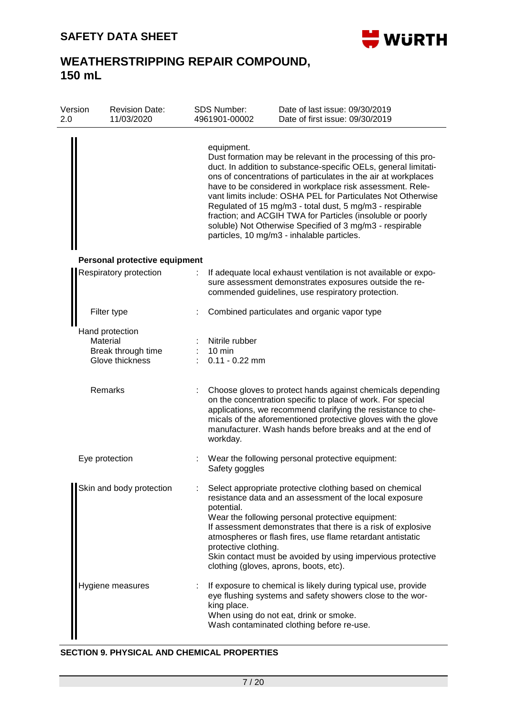

## **WEATHERSTRIPPING REPAIR COMPOUND, 150 mL**

| Version<br>2.0 | <b>Revision Date:</b><br>11/03/2020                                  |                           | SDS Number:<br>4961901-00002                           | Date of last issue: 09/30/2019<br>Date of first issue: 09/30/2019                                                                                                                                                                                                                                                                                                                                                                                                                                                                                                   |
|----------------|----------------------------------------------------------------------|---------------------------|--------------------------------------------------------|---------------------------------------------------------------------------------------------------------------------------------------------------------------------------------------------------------------------------------------------------------------------------------------------------------------------------------------------------------------------------------------------------------------------------------------------------------------------------------------------------------------------------------------------------------------------|
|                |                                                                      |                           | equipment.                                             | Dust formation may be relevant in the processing of this pro-<br>duct. In addition to substance-specific OELs, general limitati-<br>ons of concentrations of particulates in the air at workplaces<br>have to be considered in workplace risk assessment. Rele-<br>vant limits include: OSHA PEL for Particulates Not Otherwise<br>Regulated of 15 mg/m3 - total dust, 5 mg/m3 - respirable<br>fraction; and ACGIH TWA for Particles (insoluble or poorly<br>soluble) Not Otherwise Specified of 3 mg/m3 - respirable<br>particles, 10 mg/m3 - inhalable particles. |
|                | Personal protective equipment                                        |                           |                                                        |                                                                                                                                                                                                                                                                                                                                                                                                                                                                                                                                                                     |
|                | Respiratory protection                                               | $\mathbb{Z}^{\mathbb{Z}}$ |                                                        | If adequate local exhaust ventilation is not available or expo-<br>sure assessment demonstrates exposures outside the re-<br>commended guidelines, use respiratory protection.                                                                                                                                                                                                                                                                                                                                                                                      |
|                | Filter type                                                          |                           |                                                        | Combined particulates and organic vapor type                                                                                                                                                                                                                                                                                                                                                                                                                                                                                                                        |
|                | Hand protection<br>Material<br>Break through time<br>Glove thickness |                           | Nitrile rubber<br>$10 \text{ min}$<br>$0.11 - 0.22$ mm |                                                                                                                                                                                                                                                                                                                                                                                                                                                                                                                                                                     |
|                | Remarks                                                              |                           | workday.                                               | Choose gloves to protect hands against chemicals depending<br>on the concentration specific to place of work. For special<br>applications, we recommend clarifying the resistance to che-<br>micals of the aforementioned protective gloves with the glove<br>manufacturer. Wash hands before breaks and at the end of                                                                                                                                                                                                                                              |
|                | Eye protection                                                       |                           | Safety goggles                                         | Wear the following personal protective equipment:                                                                                                                                                                                                                                                                                                                                                                                                                                                                                                                   |
|                | Skin and body protection                                             |                           | potential.<br>protective clothing.                     | Select appropriate protective clothing based on chemical<br>resistance data and an assessment of the local exposure<br>Wear the following personal protective equipment:<br>If assessment demonstrates that there is a risk of explosive<br>atmospheres or flash fires, use flame retardant antistatic<br>Skin contact must be avoided by using impervious protective<br>clothing (gloves, aprons, boots, etc).                                                                                                                                                     |
|                | Hygiene measures                                                     |                           | king place.                                            | If exposure to chemical is likely during typical use, provide<br>eye flushing systems and safety showers close to the wor-<br>When using do not eat, drink or smoke.<br>Wash contaminated clothing before re-use.                                                                                                                                                                                                                                                                                                                                                   |

#### **SECTION 9. PHYSICAL AND CHEMICAL PROPERTIES**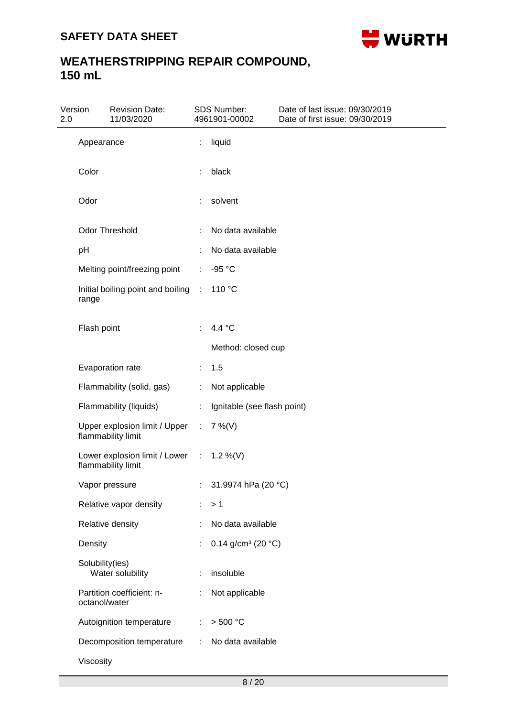

| Version<br>2.0 |                 | <b>Revision Date:</b><br>11/03/2020                            |                             | <b>SDS Number:</b><br>4961901-00002 | Date of last issue: 09/30/2019<br>Date of first issue: 09/30/2019 |
|----------------|-----------------|----------------------------------------------------------------|-----------------------------|-------------------------------------|-------------------------------------------------------------------|
|                | Appearance      |                                                                | ÷                           | liquid                              |                                                                   |
|                | Color           |                                                                |                             | black                               |                                                                   |
|                | Odor            |                                                                |                             | solvent                             |                                                                   |
|                |                 | Odor Threshold                                                 |                             | No data available                   |                                                                   |
|                | pH              |                                                                |                             | No data available                   |                                                                   |
|                |                 | Melting point/freezing point                                   | ÷                           | -95 °C                              |                                                                   |
|                | range           | Initial boiling point and boiling                              | $\mathcal{L}$               | 110 °C                              |                                                                   |
|                | Flash point     |                                                                |                             | 4.4 °C                              |                                                                   |
|                |                 |                                                                |                             | Method: closed cup                  |                                                                   |
|                |                 | Evaporation rate                                               |                             | 1.5                                 |                                                                   |
|                |                 | Flammability (solid, gas)                                      | ÷.                          | Not applicable                      |                                                                   |
|                |                 | Flammability (liquids)                                         | ÷.                          | Ignitable (see flash point)         |                                                                   |
|                |                 | Upper explosion limit / Upper<br>flammability limit            | $\mathbb{C}^{\times}$       | $7\%$ (V)                           |                                                                   |
|                |                 | Lower explosion limit / Lower : 1.2 %(V)<br>flammability limit |                             |                                     |                                                                   |
|                |                 | Vapor pressure                                                 | $\sim 10^{-1}$ GeV          | 31.9974 hPa (20 °C)                 |                                                                   |
|                |                 | Relative vapor density                                         | ÷.                          | >1                                  |                                                                   |
|                |                 | Relative density                                               | ÷                           | No data available                   |                                                                   |
|                | Density         |                                                                |                             | 0.14 g/cm <sup>3</sup> (20 $°C$ )   |                                                                   |
|                | Solubility(ies) | Water solubility                                               |                             | insoluble                           |                                                                   |
|                | octanol/water   | Partition coefficient: n-                                      | ÷.                          | Not applicable                      |                                                                   |
|                |                 | Autoignition temperature                                       | $\mathcal{L}^{\mathcal{L}}$ | > 500 °C                            |                                                                   |
|                |                 | Decomposition temperature                                      | $\mathcal{L}^{\mathcal{L}}$ | No data available                   |                                                                   |
|                | Viscosity       |                                                                |                             |                                     |                                                                   |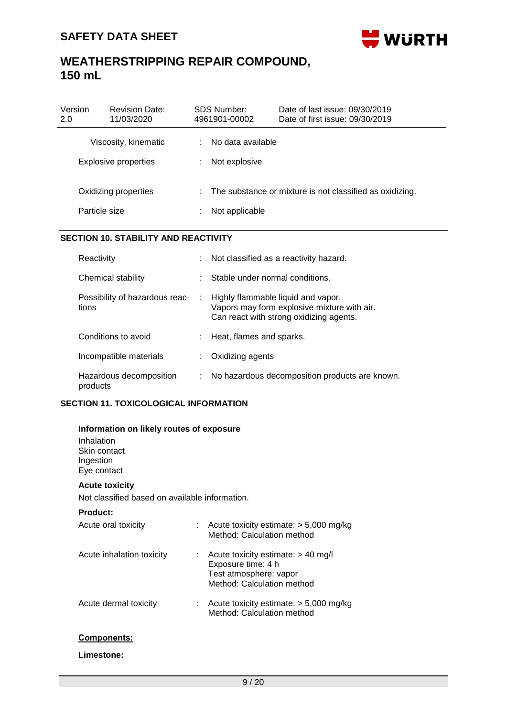

| Version<br>2.0 | <b>Revision Date:</b><br>11/03/2020          | SDS Number:<br>4961901-00002       | Date of last issue: 09/30/2019<br>Date of first issue: 09/30/2019 |
|----------------|----------------------------------------------|------------------------------------|-------------------------------------------------------------------|
|                | Viscosity, kinematic<br>Explosive properties | No data available<br>Not explosive |                                                                   |
|                | Oxidizing properties<br>Particle size        | Not applicable                     | The substance or mixture is not classified as oxidizing.          |

### **SECTION 10. STABILITY AND REACTIVITY**

| Reactivity                              | ÷  | Not classified as a reactivity hazard.                                                                                       |
|-----------------------------------------|----|------------------------------------------------------------------------------------------------------------------------------|
| Chemical stability                      | t. | Stable under normal conditions.                                                                                              |
| Possibility of hazardous reac-<br>tions | ÷  | Highly flammable liquid and vapor.<br>Vapors may form explosive mixture with air.<br>Can react with strong oxidizing agents. |
| Conditions to avoid                     |    | Heat, flames and sparks.                                                                                                     |
| Incompatible materials                  |    | Oxidizing agents                                                                                                             |
| Hazardous decomposition<br>products     | ÷  | No hazardous decomposition products are known.                                                                               |

### **SECTION 11. TOXICOLOGICAL INFORMATION**

### **Information on likely routes of exposure**

Inhalation Skin contact Ingestion Eye contact

### **Acute toxicity**

**Product:**

Not classified based on available information.

| Acute oral toxicity       | Acute toxicity estimate: $> 5,000$ mg/kg<br>Method: Calculation method                                             |
|---------------------------|--------------------------------------------------------------------------------------------------------------------|
| Acute inhalation toxicity | Acute toxicity estimate: $> 40$ mg/l<br>Exposure time: 4 h<br>Test atmosphere: vapor<br>Method: Calculation method |
| Acute dermal toxicity     | Acute toxicity estimate: $> 5,000$ mg/kg<br>Method: Calculation method                                             |

### **Components:**

#### **Limestone:**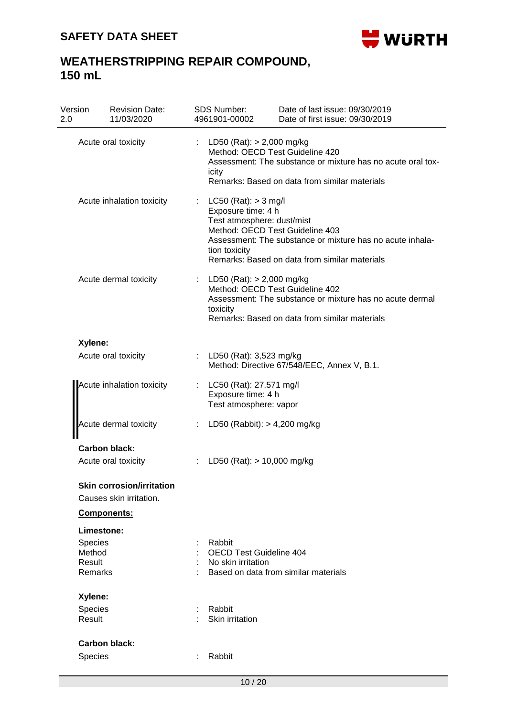

| Version<br>2.0    | <b>Revision Date:</b><br>11/03/2020                                                                                                                                                                            |    | <b>SDS Number:</b><br>4961901-00002                                                                                                                                                                                                          | Date of last issue: 09/30/2019<br>Date of first issue: 09/30/2019                                         |  |  |
|-------------------|----------------------------------------------------------------------------------------------------------------------------------------------------------------------------------------------------------------|----|----------------------------------------------------------------------------------------------------------------------------------------------------------------------------------------------------------------------------------------------|-----------------------------------------------------------------------------------------------------------|--|--|
|                   | LD50 (Rat): $> 2,000$ mg/kg<br>Acute oral toxicity<br>Method: OECD Test Guideline 420<br>Assessment: The substance or mixture has no acute oral tox-<br>icity<br>Remarks: Based on data from similar materials |    |                                                                                                                                                                                                                                              |                                                                                                           |  |  |
|                   | Acute inhalation toxicity                                                                                                                                                                                      |    | LC50 (Rat): $>$ 3 mg/l<br>Exposure time: 4 h<br>Test atmosphere: dust/mist<br>Method: OECD Test Guideline 403<br>Assessment: The substance or mixture has no acute inhala-<br>tion toxicity<br>Remarks: Based on data from similar materials |                                                                                                           |  |  |
|                   | Acute dermal toxicity                                                                                                                                                                                          |    | : LD50 (Rat): $> 2,000$ mg/kg<br>Method: OECD Test Guideline 402<br>toxicity                                                                                                                                                                 | Assessment: The substance or mixture has no acute dermal<br>Remarks: Based on data from similar materials |  |  |
| Xylene:           |                                                                                                                                                                                                                |    |                                                                                                                                                                                                                                              |                                                                                                           |  |  |
|                   | Acute oral toxicity                                                                                                                                                                                            | t. | LD50 (Rat): 3,523 mg/kg                                                                                                                                                                                                                      | Method: Directive 67/548/EEC, Annex V, B.1.                                                               |  |  |
|                   | Acute inhalation toxicity                                                                                                                                                                                      |    | LC50 (Rat): 27.571 mg/l<br>Exposure time: 4 h<br>Test atmosphere: vapor                                                                                                                                                                      |                                                                                                           |  |  |
|                   | Acute dermal toxicity                                                                                                                                                                                          |    | LD50 (Rabbit): $> 4,200$ mg/kg                                                                                                                                                                                                               |                                                                                                           |  |  |
|                   | <b>Carbon black:</b>                                                                                                                                                                                           |    |                                                                                                                                                                                                                                              |                                                                                                           |  |  |
|                   | Acute oral toxicity                                                                                                                                                                                            |    | LD50 (Rat): $> 10,000$ mg/kg                                                                                                                                                                                                                 |                                                                                                           |  |  |
|                   | <b>Skin corrosion/irritation</b><br>Causes skin irritation.                                                                                                                                                    |    |                                                                                                                                                                                                                                              |                                                                                                           |  |  |
|                   | Components:                                                                                                                                                                                                    |    |                                                                                                                                                                                                                                              |                                                                                                           |  |  |
|                   | Limestone:                                                                                                                                                                                                     |    |                                                                                                                                                                                                                                              |                                                                                                           |  |  |
| <b>Species</b>    |                                                                                                                                                                                                                |    | Rabbit                                                                                                                                                                                                                                       |                                                                                                           |  |  |
| Method<br>Result  |                                                                                                                                                                                                                |    | <b>OECD Test Guideline 404</b><br>No skin irritation                                                                                                                                                                                         |                                                                                                           |  |  |
| Remarks           |                                                                                                                                                                                                                |    |                                                                                                                                                                                                                                              | Based on data from similar materials                                                                      |  |  |
| Xylene:           |                                                                                                                                                                                                                |    |                                                                                                                                                                                                                                              |                                                                                                           |  |  |
| Species<br>Result |                                                                                                                                                                                                                |    | Rabbit<br>Skin irritation                                                                                                                                                                                                                    |                                                                                                           |  |  |
|                   | <b>Carbon black:</b>                                                                                                                                                                                           |    |                                                                                                                                                                                                                                              |                                                                                                           |  |  |
|                   | <b>Species</b><br>Rabbit                                                                                                                                                                                       |    |                                                                                                                                                                                                                                              |                                                                                                           |  |  |
|                   |                                                                                                                                                                                                                |    | 10/20                                                                                                                                                                                                                                        |                                                                                                           |  |  |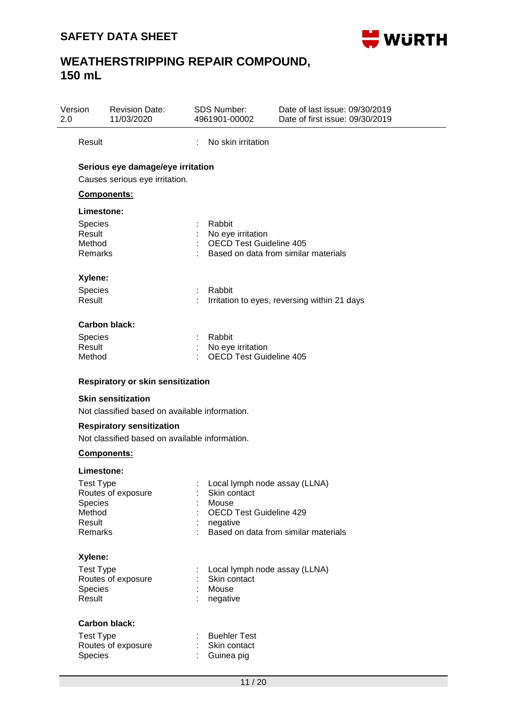

| 2.0 | Version                                                    | <b>Revision Date:</b><br>11/03/2020                                                |   | <b>SDS Number:</b><br>4961901-00002                                                                  | Date of last issue: 09/30/2019<br>Date of first issue: 09/30/2019 |
|-----|------------------------------------------------------------|------------------------------------------------------------------------------------|---|------------------------------------------------------------------------------------------------------|-------------------------------------------------------------------|
|     | Result                                                     |                                                                                    | ÷ | No skin irritation                                                                                   |                                                                   |
|     | Components:                                                | Serious eye damage/eye irritation<br>Causes serious eye irritation.                |   |                                                                                                      |                                                                   |
|     | Limestone:                                                 |                                                                                    |   |                                                                                                      |                                                                   |
|     | <b>Species</b><br>Result<br>Method<br><b>Remarks</b>       |                                                                                    |   | Rabbit<br>No eye irritation<br><b>OECD Test Guideline 405</b>                                        | Based on data from similar materials                              |
|     | Xylene:                                                    |                                                                                    |   |                                                                                                      |                                                                   |
|     | Species<br>Result                                          |                                                                                    |   | Rabbit                                                                                               | Irritation to eyes, reversing within 21 days                      |
|     | Carbon black:                                              |                                                                                    |   |                                                                                                      |                                                                   |
|     | <b>Species</b><br>Result<br>Method                         |                                                                                    |   | Rabbit<br>No eye irritation<br><b>OECD Test Guideline 405</b>                                        |                                                                   |
|     |                                                            | <b>Respiratory or skin sensitization</b>                                           |   |                                                                                                      |                                                                   |
|     |                                                            | <b>Skin sensitization</b>                                                          |   |                                                                                                      |                                                                   |
|     |                                                            | Not classified based on available information.                                     |   |                                                                                                      |                                                                   |
|     |                                                            | <b>Respiratory sensitization</b><br>Not classified based on available information. |   |                                                                                                      |                                                                   |
|     | <b>Components:</b>                                         |                                                                                    |   |                                                                                                      |                                                                   |
|     | Limestone:                                                 |                                                                                    |   |                                                                                                      |                                                                   |
|     | Test Type<br><b>Species</b><br>Method<br>Result<br>Remarks | Routes of exposure                                                                 |   | Local lymph node assay (LLNA)<br>Skin contact<br>Mouse<br><b>OECD Test Guideline 429</b><br>negative | Based on data from similar materials                              |
|     | Xylene:                                                    |                                                                                    |   |                                                                                                      |                                                                   |
|     | <b>Test Type</b><br><b>Species</b><br>Result               | Routes of exposure                                                                 |   | Local lymph node assay (LLNA)<br>Skin contact<br>Mouse<br>negative                                   |                                                                   |
|     |                                                            | <b>Carbon black:</b>                                                               |   |                                                                                                      |                                                                   |
|     | <b>Test Type</b><br>Species                                | Routes of exposure                                                                 |   | <b>Buehler Test</b><br>Skin contact<br>Guinea pig                                                    |                                                                   |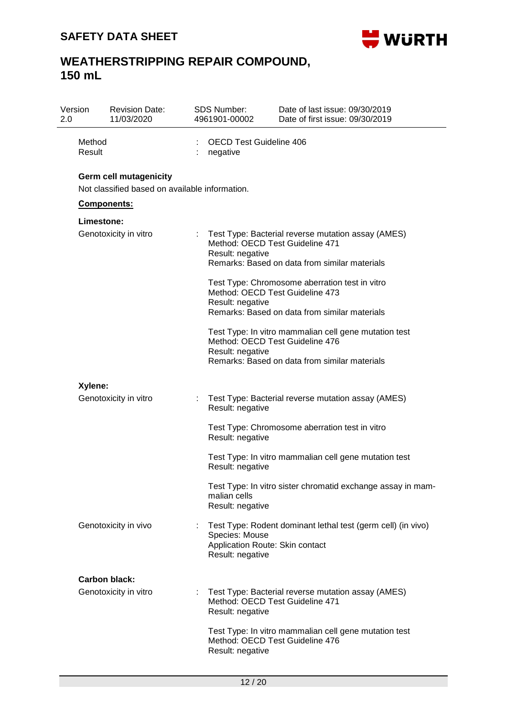

| 2.0 | Version          | <b>Revision Date:</b><br>11/03/2020                                             |    | <b>SDS Number:</b><br>4961901-00002                                   | Date of last issue: 09/30/2019<br>Date of first issue: 09/30/2019                                                                         |
|-----|------------------|---------------------------------------------------------------------------------|----|-----------------------------------------------------------------------|-------------------------------------------------------------------------------------------------------------------------------------------|
|     | Method<br>Result |                                                                                 |    | <b>OECD Test Guideline 406</b><br>negative                            |                                                                                                                                           |
|     |                  | <b>Germ cell mutagenicity</b><br>Not classified based on available information. |    |                                                                       |                                                                                                                                           |
|     |                  | <b>Components:</b>                                                              |    |                                                                       |                                                                                                                                           |
|     | Limestone:       | Genotoxicity in vitro                                                           |    | Result: negative                                                      | Test Type: Bacterial reverse mutation assay (AMES)<br>Method: OECD Test Guideline 471<br>Remarks: Based on data from similar materials    |
|     |                  |                                                                                 |    | Result: negative                                                      | Test Type: Chromosome aberration test in vitro<br>Method: OECD Test Guideline 473<br>Remarks: Based on data from similar materials        |
|     |                  |                                                                                 |    | Result: negative                                                      | Test Type: In vitro mammalian cell gene mutation test<br>Method: OECD Test Guideline 476<br>Remarks: Based on data from similar materials |
|     | Xylene:          |                                                                                 |    |                                                                       |                                                                                                                                           |
|     |                  | Genotoxicity in vitro                                                           | ÷. | Result: negative                                                      | Test Type: Bacterial reverse mutation assay (AMES)                                                                                        |
|     |                  |                                                                                 |    | Result: negative                                                      | Test Type: Chromosome aberration test in vitro                                                                                            |
|     |                  |                                                                                 |    | Result: negative                                                      | Test Type: In vitro mammalian cell gene mutation test                                                                                     |
|     |                  |                                                                                 |    | malian cells<br>Result: negative                                      | Test Type: In vitro sister chromatid exchange assay in mam-                                                                               |
|     |                  | Genotoxicity in vivo                                                            |    | Species: Mouse<br>Application Route: Skin contact<br>Result: negative | Test Type: Rodent dominant lethal test (germ cell) (in vivo)                                                                              |
|     |                  | Carbon black:                                                                   |    |                                                                       |                                                                                                                                           |
|     |                  | Genotoxicity in vitro                                                           | ÷. | Result: negative                                                      | Test Type: Bacterial reverse mutation assay (AMES)<br>Method: OECD Test Guideline 471                                                     |
|     |                  |                                                                                 |    | Result: negative                                                      | Test Type: In vitro mammalian cell gene mutation test<br>Method: OECD Test Guideline 476                                                  |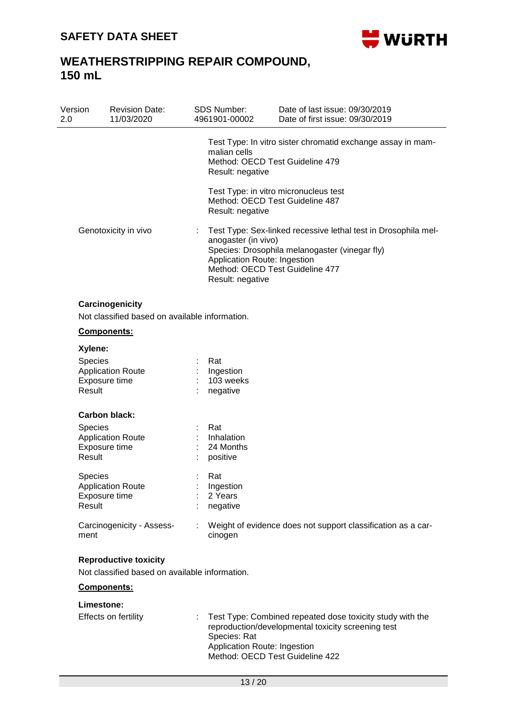

| Version<br>2.0    | <b>Revision Date:</b><br>11/03/2020                               |                | SDS Number:<br>4961901-00002                                                                                                                                                                                                   | Date of last issue: 09/30/2019<br>Date of first issue: 09/30/2019                                                                                  |  |  |  |
|-------------------|-------------------------------------------------------------------|----------------|--------------------------------------------------------------------------------------------------------------------------------------------------------------------------------------------------------------------------------|----------------------------------------------------------------------------------------------------------------------------------------------------|--|--|--|
|                   |                                                                   |                | malian cells<br>Result: negative                                                                                                                                                                                               | Test Type: In vitro sister chromatid exchange assay in mam-<br>Method: OECD Test Guideline 479                                                     |  |  |  |
|                   |                                                                   |                | Result: negative                                                                                                                                                                                                               | Test Type: in vitro micronucleus test<br>Method: OECD Test Guideline 487                                                                           |  |  |  |
|                   | Genotoxicity in vivo                                              |                | Test Type: Sex-linked recessive lethal test in Drosophila mel-<br>anogaster (in vivo)<br>Species: Drosophila melanogaster (vinegar fly)<br>Application Route: Ingestion<br>Method: OECD Test Guideline 477<br>Result: negative |                                                                                                                                                    |  |  |  |
|                   | Carcinogenicity<br>Not classified based on available information. |                |                                                                                                                                                                                                                                |                                                                                                                                                    |  |  |  |
|                   | Components:                                                       |                |                                                                                                                                                                                                                                |                                                                                                                                                    |  |  |  |
| Xylene:           |                                                                   |                |                                                                                                                                                                                                                                |                                                                                                                                                    |  |  |  |
| Species<br>Result | <b>Application Route</b><br>Exposure time                         |                | Rat<br>Ingestion<br>103 weeks<br>negative                                                                                                                                                                                      |                                                                                                                                                    |  |  |  |
|                   | <b>Carbon black:</b>                                              |                |                                                                                                                                                                                                                                |                                                                                                                                                    |  |  |  |
| Species           |                                                                   |                | Rat                                                                                                                                                                                                                            |                                                                                                                                                    |  |  |  |
|                   | <b>Application Route</b>                                          |                | Inhalation                                                                                                                                                                                                                     |                                                                                                                                                    |  |  |  |
|                   | Exposure time                                                     |                | 24 Months                                                                                                                                                                                                                      |                                                                                                                                                    |  |  |  |
| Result            |                                                                   |                | positive                                                                                                                                                                                                                       |                                                                                                                                                    |  |  |  |
| <b>Species</b>    |                                                                   |                | Rat                                                                                                                                                                                                                            |                                                                                                                                                    |  |  |  |
|                   | <b>Application Route</b>                                          |                | Ingestion                                                                                                                                                                                                                      |                                                                                                                                                    |  |  |  |
| Result            | Exposure time                                                     |                | 2 Years<br>negative                                                                                                                                                                                                            |                                                                                                                                                    |  |  |  |
|                   |                                                                   |                |                                                                                                                                                                                                                                |                                                                                                                                                    |  |  |  |
| ment              | Carcinogenicity - Assess-                                         | $\mathbb{R}^n$ | cinogen                                                                                                                                                                                                                        | Weight of evidence does not support classification as a car-                                                                                       |  |  |  |
|                   | <b>Reproductive toxicity</b>                                      |                |                                                                                                                                                                                                                                |                                                                                                                                                    |  |  |  |
|                   | Not classified based on available information.                    |                |                                                                                                                                                                                                                                |                                                                                                                                                    |  |  |  |
|                   | <b>Components:</b>                                                |                |                                                                                                                                                                                                                                |                                                                                                                                                    |  |  |  |
|                   | Limestone:                                                        |                |                                                                                                                                                                                                                                |                                                                                                                                                    |  |  |  |
|                   | Effects on fertility                                              | ÷.             | Species: Rat<br>Application Route: Ingestion                                                                                                                                                                                   | Test Type: Combined repeated dose toxicity study with the<br>reproduction/developmental toxicity screening test<br>Method: OECD Test Guideline 422 |  |  |  |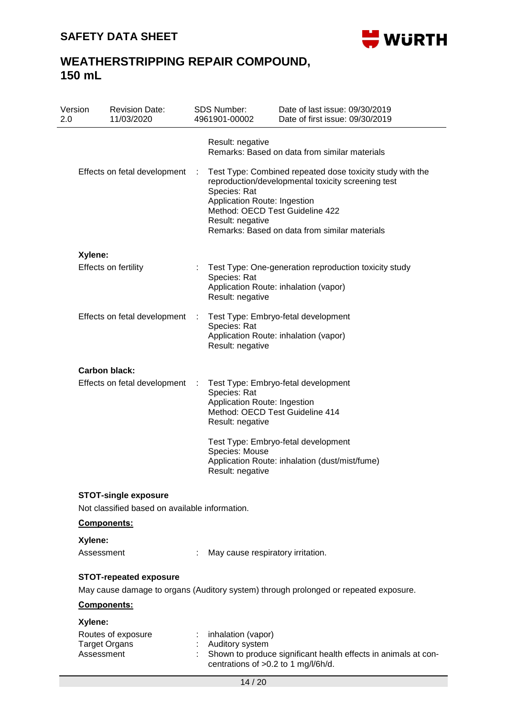

| Version<br>2.0 |                       | <b>Revision Date:</b><br>11/03/2020            |   | <b>SDS Number:</b><br>4961901-00002                                                                 | Date of last issue: 09/30/2019<br>Date of first issue: 09/30/2019                                                                                                |
|----------------|-----------------------|------------------------------------------------|---|-----------------------------------------------------------------------------------------------------|------------------------------------------------------------------------------------------------------------------------------------------------------------------|
|                |                       |                                                |   | Result: negative                                                                                    | Remarks: Based on data from similar materials                                                                                                                    |
|                |                       | Effects on fetal development                   | ÷ | Species: Rat<br>Application Route: Ingestion<br>Method: OECD Test Guideline 422<br>Result: negative | Test Type: Combined repeated dose toxicity study with the<br>reproduction/developmental toxicity screening test<br>Remarks: Based on data from similar materials |
|                | Xylene:               |                                                |   |                                                                                                     |                                                                                                                                                                  |
|                |                       | <b>Effects on fertility</b>                    |   | Species: Rat<br>Result: negative                                                                    | Test Type: One-generation reproduction toxicity study<br>Application Route: inhalation (vapor)                                                                   |
|                |                       | Effects on fetal development                   | ÷ | Species: Rat<br>Result: negative                                                                    | Test Type: Embryo-fetal development<br>Application Route: inhalation (vapor)                                                                                     |
|                |                       | Carbon black:                                  |   |                                                                                                     |                                                                                                                                                                  |
|                |                       | Effects on fetal development                   |   | Species: Rat<br>Application Route: Ingestion<br>Method: OECD Test Guideline 414<br>Result: negative | Test Type: Embryo-fetal development                                                                                                                              |
|                |                       |                                                |   | Species: Mouse<br>Result: negative                                                                  | Test Type: Embryo-fetal development<br>Application Route: inhalation (dust/mist/fume)                                                                            |
|                |                       | <b>STOT-single exposure</b>                    |   |                                                                                                     |                                                                                                                                                                  |
|                |                       | Not classified based on available information. |   |                                                                                                     |                                                                                                                                                                  |
|                | Components:           |                                                |   |                                                                                                     |                                                                                                                                                                  |
|                | Xylene:<br>Assessment |                                                |   | May cause respiratory irritation.                                                                   |                                                                                                                                                                  |
|                |                       |                                                |   |                                                                                                     |                                                                                                                                                                  |
|                |                       | <b>STOT-repeated exposure</b>                  |   |                                                                                                     | May cause damage to organs (Auditory system) through prolonged or repeated exposure.                                                                             |
|                | Components:           |                                                |   |                                                                                                     |                                                                                                                                                                  |
|                | Xylene:               |                                                |   |                                                                                                     |                                                                                                                                                                  |
|                | <b>Target Organs</b>  | Routes of exposure                             |   | inhalation (vapor)<br>Auditory system                                                               |                                                                                                                                                                  |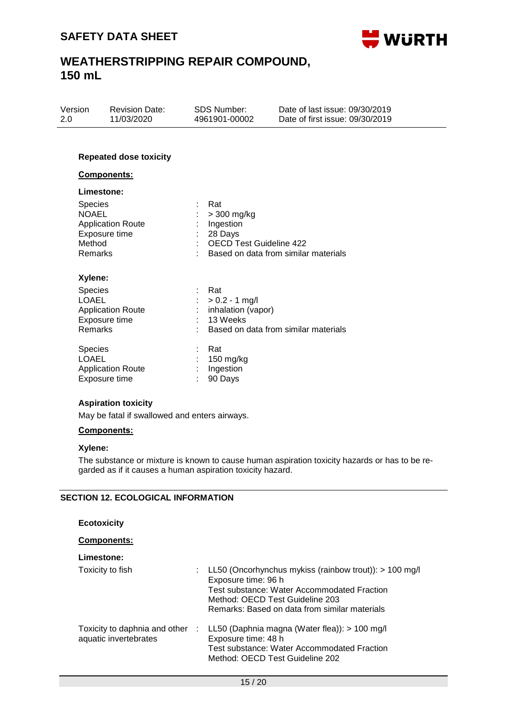

| Version | <b>Revision Date:</b> | SDS Number:   | Date of last issue: 09/30/2019  |
|---------|-----------------------|---------------|---------------------------------|
| -2.0    | 11/03/2020            | 4961901-00002 | Date of first issue: 09/30/2019 |
|         |                       |               |                                 |

### **Repeated dose toxicity**

### **Components:**

| <b>Limestone:</b> |
|-------------------|
|-------------------|

| <b>Species</b>                                                                             | Rat                                                                                                  |
|--------------------------------------------------------------------------------------------|------------------------------------------------------------------------------------------------------|
| <b>NOAEL</b>                                                                               | > 300 mg/kg                                                                                          |
| <b>Application Route</b>                                                                   | Ingestion                                                                                            |
| Exposure time                                                                              | 28 Days                                                                                              |
| Method                                                                                     | <b>OECD Test Guideline 422</b>                                                                       |
| Remarks                                                                                    | Based on data from similar materials                                                                 |
| Xylene:<br><b>Species</b><br>LOAEL<br><b>Application Route</b><br>Exposure time<br>Remarks | - Rat<br>: $> 0.2 - 1$ mg/<br>inhalation (vapor)<br>13 Weeks<br>Based on data from similar materials |
| <b>Species</b>                                                                             | Rat                                                                                                  |
| LOAEL                                                                                      | 150 mg/kg                                                                                            |
| <b>Application Route</b>                                                                   | Ingestion                                                                                            |
| Exposure time                                                                              | 90 Days                                                                                              |

#### **Aspiration toxicity**

May be fatal if swallowed and enters airways.

#### **Components:**

### **Xylene:**

The substance or mixture is known to cause human aspiration toxicity hazards or has to be regarded as if it causes a human aspiration toxicity hazard.

#### **SECTION 12. ECOLOGICAL INFORMATION**

| <b>Ecotoxicity</b>                                       |                                                                                                                                                                                                                         |
|----------------------------------------------------------|-------------------------------------------------------------------------------------------------------------------------------------------------------------------------------------------------------------------------|
| Components:                                              |                                                                                                                                                                                                                         |
| Limestone:                                               |                                                                                                                                                                                                                         |
| Toxicity to fish                                         | LL50 (Oncorhynchus mykiss (rainbow trout)): $> 100$ mg/l<br>÷<br>Exposure time: 96 h<br>Test substance: Water Accommodated Fraction<br>Method: OECD Test Guideline 203<br>Remarks: Based on data from similar materials |
| Toxicity to daphnia and other :<br>aquatic invertebrates | LL50 (Daphnia magna (Water flea)): > 100 mg/l<br>Exposure time: 48 h<br>Test substance: Water Accommodated Fraction<br>Method: OECD Test Guideline 202                                                                  |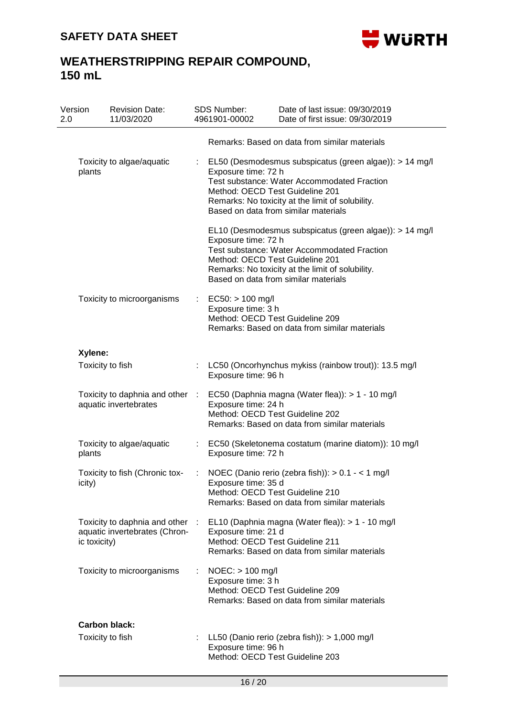

| Version<br>11/03/2020<br>2.0                                                     | <b>Revision Date:</b> |             | SDS Number:<br>4961901-00002                                                | Date of last issue: 09/30/2019<br>Date of first issue: 09/30/2019                                                                                                                                         |
|----------------------------------------------------------------------------------|-----------------------|-------------|-----------------------------------------------------------------------------|-----------------------------------------------------------------------------------------------------------------------------------------------------------------------------------------------------------|
|                                                                                  |                       |             |                                                                             | Remarks: Based on data from similar materials                                                                                                                                                             |
| Toxicity to algae/aquatic<br>plants                                              |                       |             | Exposure time: 72 h<br>Method: OECD Test Guideline 201                      | EL50 (Desmodesmus subspicatus (green algae)): > 14 mg/l<br>Test substance: Water Accommodated Fraction<br>Remarks: No toxicity at the limit of solubility.<br>Based on data from similar materials        |
|                                                                                  |                       |             | Exposure time: 72 h<br>Method: OECD Test Guideline 201                      | EL10 (Desmodesmus subspicatus (green algae)): > 14 mg/l<br><b>Test substance: Water Accommodated Fraction</b><br>Remarks: No toxicity at the limit of solubility.<br>Based on data from similar materials |
| Toxicity to microorganisms                                                       |                       |             | $EC50:$ > 100 mg/l<br>Exposure time: 3 h<br>Method: OECD Test Guideline 209 | Remarks: Based on data from similar materials                                                                                                                                                             |
| Xylene:                                                                          |                       |             |                                                                             |                                                                                                                                                                                                           |
| Toxicity to fish                                                                 |                       |             | Exposure time: 96 h                                                         | LC50 (Oncorhynchus mykiss (rainbow trout)): 13.5 mg/l                                                                                                                                                     |
| Toxicity to daphnia and other<br>aquatic invertebrates                           |                       | $\sim 10^7$ | Exposure time: 24 h<br>Method: OECD Test Guideline 202                      | EC50 (Daphnia magna (Water flea)): > 1 - 10 mg/l<br>Remarks: Based on data from similar materials                                                                                                         |
| Toxicity to algae/aquatic<br>plants                                              |                       |             | Exposure time: 72 h                                                         | EC50 (Skeletonema costatum (marine diatom)): 10 mg/l                                                                                                                                                      |
| Toxicity to fish (Chronic tox-<br>icity)                                         |                       |             | Exposure time: 35 d<br>Method: OECD Test Guideline 210                      | NOEC (Danio rerio (zebra fish)): > 0.1 - < 1 mg/l<br>Remarks: Based on data from similar materials                                                                                                        |
| Toxicity to daphnia and other :<br>aquatic invertebrates (Chron-<br>ic toxicity) |                       |             | Exposure time: 21 d<br>Method: OECD Test Guideline 211                      | EL10 (Daphnia magna (Water flea)): > 1 - 10 mg/l<br>Remarks: Based on data from similar materials                                                                                                         |
| Toxicity to microorganisms                                                       |                       |             | $NOEC:$ > 100 mg/l<br>Exposure time: 3 h<br>Method: OECD Test Guideline 209 | Remarks: Based on data from similar materials                                                                                                                                                             |
| Carbon black:                                                                    |                       |             |                                                                             |                                                                                                                                                                                                           |
| Toxicity to fish                                                                 |                       |             | Exposure time: 96 h<br>Method: OECD Test Guideline 203                      | LL50 (Danio rerio (zebra fish)): > 1,000 mg/l                                                                                                                                                             |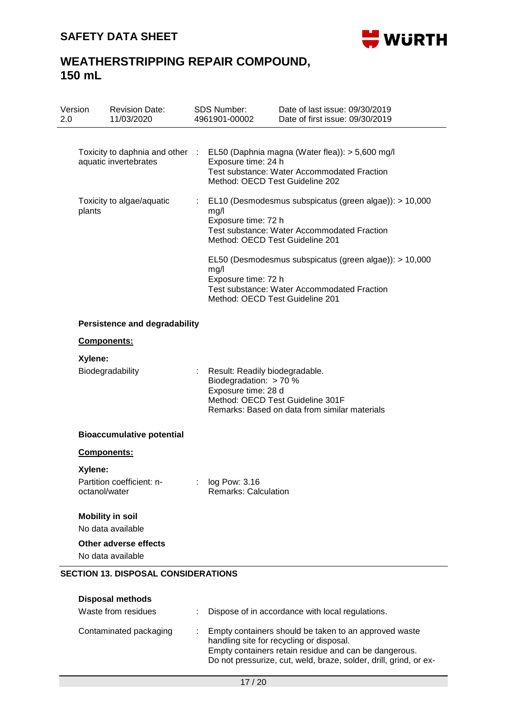

| Version<br>2.0 | <b>Revision Date:</b><br>11/03/2020                                   | SDS Number:<br>4961901-00002                                                                                                                                                                                                                                            | Date of last issue: 09/30/2019<br>Date of first issue: 09/30/2019                              |
|----------------|-----------------------------------------------------------------------|-------------------------------------------------------------------------------------------------------------------------------------------------------------------------------------------------------------------------------------------------------------------------|------------------------------------------------------------------------------------------------|
|                |                                                                       |                                                                                                                                                                                                                                                                         |                                                                                                |
|                | Toxicity to daphnia and other :<br>aquatic invertebrates              | Exposure time: 24 h<br>Method: OECD Test Guideline 202                                                                                                                                                                                                                  | EL50 (Daphnia magna (Water flea)): > 5,600 mg/l<br>Test substance: Water Accommodated Fraction |
| plants         | Toxicity to algae/aquatic                                             | EL10 (Desmodesmus subspicatus (green algae)): > 10,000<br>mg/l<br>Exposure time: 72 h<br><b>Test substance: Water Accommodated Fraction</b><br>Method: OECD Test Guideline 201<br>EL50 (Desmodesmus subspicatus (green algae)): > 10,000<br>mg/l<br>Exposure time: 72 h |                                                                                                |
|                |                                                                       | Method: OECD Test Guideline 201                                                                                                                                                                                                                                         | <b>Test substance: Water Accommodated Fraction</b>                                             |
|                | <b>Persistence and degradability</b>                                  |                                                                                                                                                                                                                                                                         |                                                                                                |
|                | Components:                                                           |                                                                                                                                                                                                                                                                         |                                                                                                |
| Xylene:        |                                                                       |                                                                                                                                                                                                                                                                         |                                                                                                |
|                | Biodegradability                                                      | Result: Readily biodegradable.<br>Biodegradation: > 70 %<br>Exposure time: 28 d                                                                                                                                                                                         | Method: OECD Test Guideline 301F<br>Remarks: Based on data from similar materials              |
|                | <b>Bioaccumulative potential</b>                                      |                                                                                                                                                                                                                                                                         |                                                                                                |
|                | Components:                                                           |                                                                                                                                                                                                                                                                         |                                                                                                |
| Xylene:        |                                                                       |                                                                                                                                                                                                                                                                         |                                                                                                |
| octanol/water  | Partition coefficient: n-                                             | : log Pow: 3.16<br><b>Remarks: Calculation</b>                                                                                                                                                                                                                          |                                                                                                |
|                | <b>Mobility in soil</b>                                               |                                                                                                                                                                                                                                                                         |                                                                                                |
|                | No data available                                                     |                                                                                                                                                                                                                                                                         |                                                                                                |
|                | Other adverse effects<br>No data available                            |                                                                                                                                                                                                                                                                         |                                                                                                |
|                | <b>SECTION 13. DISPOSAL CONSIDERATIONS</b><br><b>Disposal methods</b> |                                                                                                                                                                                                                                                                         |                                                                                                |

| Waste from residues    | : Dispose of in accordance with local regulations.                                                                                                                                                                                |
|------------------------|-----------------------------------------------------------------------------------------------------------------------------------------------------------------------------------------------------------------------------------|
| Contaminated packaging | : Empty containers should be taken to an approved waste<br>handling site for recycling or disposal.<br>Empty containers retain residue and can be dangerous.<br>Do not pressurize, cut, weld, braze, solder, drill, grind, or ex- |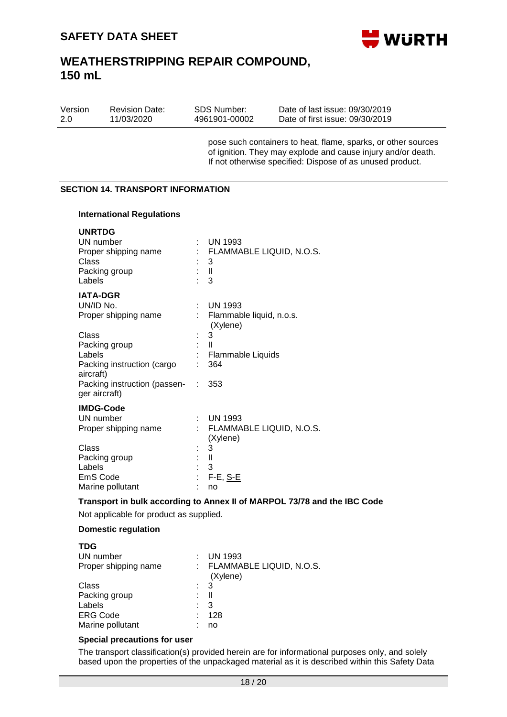

| Version | <b>Revision Date:</b> | SDS Number:   | Date of last issue: 09/30/2019  |
|---------|-----------------------|---------------|---------------------------------|
| 2.0     | 11/03/2020            | 4961901-00002 | Date of first issue: 09/30/2019 |

pose such containers to heat, flame, sparks, or other sources of ignition. They may explode and cause injury and/or death. If not otherwise specified: Dispose of as unused product.

#### **SECTION 14. TRANSPORT INFORMATION**

#### **International Regulations**

| <b>UNRTDG</b><br>UN number<br>Proper shipping name<br>Class<br>Packing group<br>Labels | ÷  | <b>UN 1993</b><br>: FLAMMABLE LIQUID, N.O.S.<br>3<br>$\mathbf{I}$<br>3 |
|----------------------------------------------------------------------------------------|----|------------------------------------------------------------------------|
| <b>IATA-DGR</b><br>UN/ID No.<br>Proper shipping name                                   | t. | <b>UN 1993</b><br>Flammable liquid, n.o.s.<br>(Xylene)                 |
| Class                                                                                  |    | 3                                                                      |
| Packing group                                                                          |    | Ш                                                                      |
| Labels                                                                                 |    | Flammable Liquids                                                      |
| Packing instruction (cargo<br>aircraft)                                                |    | 364                                                                    |
| Packing instruction (passen-<br>ger aircraft)                                          | ÷. | 353                                                                    |
| <b>IMDG-Code</b>                                                                       |    |                                                                        |
| UN number                                                                              |    | <b>UN 1993</b>                                                         |
| Proper shipping name                                                                   | t. | FLAMMABLE LIQUID, N.O.S.<br>(Xylene)                                   |
| Class                                                                                  |    | 3                                                                      |
| Packing group                                                                          |    | Ш                                                                      |
| Labels                                                                                 |    | 3                                                                      |
| EmS Code                                                                               | t  | $F-E$ , S-E                                                            |
| Marine pollutant                                                                       |    | no                                                                     |

#### **Transport in bulk according to Annex II of MARPOL 73/78 and the IBC Code**

Not applicable for product as supplied.

#### **Domestic regulation**

| <b>UN 1993</b>                         |
|----------------------------------------|
| : FLAMMABLE LIQUID, N.O.S.<br>(Xylene) |
| $\therefore$ 3                         |
| Ш                                      |
| 3                                      |
| 128                                    |
| no                                     |
|                                        |

### **Special precautions for user**

The transport classification(s) provided herein are for informational purposes only, and solely based upon the properties of the unpackaged material as it is described within this Safety Data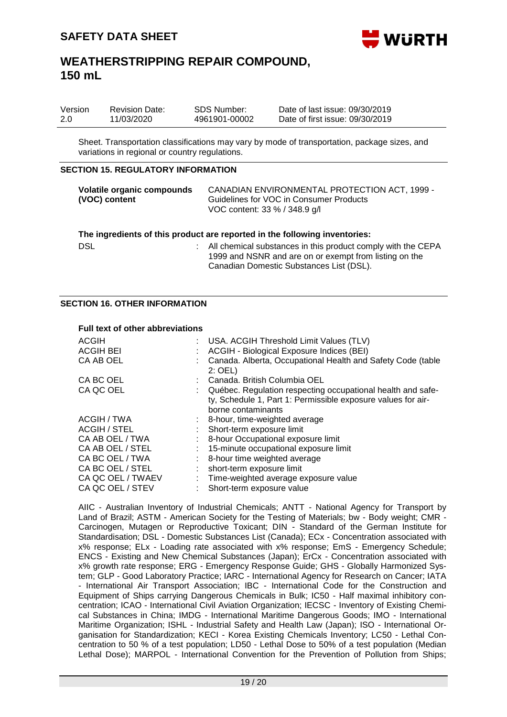

| Version | <b>Revision Date:</b> | SDS Number:   | Date of last issue: 09/30/2019  |
|---------|-----------------------|---------------|---------------------------------|
| 2.0     | 11/03/2020            | 4961901-00002 | Date of first issue: 09/30/2019 |

Sheet. Transportation classifications may vary by mode of transportation, package sizes, and variations in regional or country regulations.

#### **SECTION 15. REGULATORY INFORMATION**

| Volatile organic compounds<br>(VOC) content | CANADIAN ENVIRONMENTAL PROTECTION ACT, 1999 -<br>Guidelines for VOC in Consumer Products<br>VOC content: 33 % / 348.9 g/l                                          |  |
|---------------------------------------------|--------------------------------------------------------------------------------------------------------------------------------------------------------------------|--|
|                                             | The ingredients of this product are reported in the following inventories:                                                                                         |  |
| <b>DSL</b>                                  | All chemical substances in this product comply with the CEPA<br>1999 and NSNR and are on or exempt from listing on the<br>Canadian Domestic Substances List (DSL). |  |

#### **SECTION 16. OTHER INFORMATION**

#### **Full text of other abbreviations**

| <b>ACGIH</b><br><b>ACGIH BEI</b> | : USA. ACGIH Threshold Limit Values (TLV)<br>ACGIH - Biological Exposure Indices (BEI)                                                            |
|----------------------------------|---------------------------------------------------------------------------------------------------------------------------------------------------|
| CA AB OEL                        | Canada. Alberta, Occupational Health and Safety Code (table<br>$2:$ OEL)                                                                          |
| CA BC OEL                        | : Canada, British Columbia OEL                                                                                                                    |
| CA QC OEL                        | Québec. Regulation respecting occupational health and safe-<br>ty, Schedule 1, Part 1: Permissible exposure values for air-<br>borne contaminants |
| ACGIH / TWA                      | $\therefore$ 8-hour, time-weighted average                                                                                                        |
| <b>ACGIH / STEL</b>              | Short-term exposure limit                                                                                                                         |
| CA AB OEL / TWA                  | : 8-hour Occupational exposure limit                                                                                                              |
| CA AB OEL / STEL                 | 15-minute occupational exposure limit                                                                                                             |
| CA BC OEL / TWA                  | 8-hour time weighted average                                                                                                                      |
| CA BC OEL / STEL                 | short-term exposure limit                                                                                                                         |
| CA QC OEL / TWAEV                | : Time-weighted average exposure value                                                                                                            |
| CA QC OEL / STEV                 | Short-term exposure value                                                                                                                         |

AIIC - Australian Inventory of Industrial Chemicals; ANTT - National Agency for Transport by Land of Brazil; ASTM - American Society for the Testing of Materials; bw - Body weight; CMR - Carcinogen, Mutagen or Reproductive Toxicant; DIN - Standard of the German Institute for Standardisation; DSL - Domestic Substances List (Canada); ECx - Concentration associated with x% response; ELx - Loading rate associated with x% response; EmS - Emergency Schedule; ENCS - Existing and New Chemical Substances (Japan); ErCx - Concentration associated with x% growth rate response; ERG - Emergency Response Guide; GHS - Globally Harmonized System; GLP - Good Laboratory Practice; IARC - International Agency for Research on Cancer; IATA - International Air Transport Association; IBC - International Code for the Construction and Equipment of Ships carrying Dangerous Chemicals in Bulk; IC50 - Half maximal inhibitory concentration; ICAO - International Civil Aviation Organization; IECSC - Inventory of Existing Chemical Substances in China; IMDG - International Maritime Dangerous Goods; IMO - International Maritime Organization; ISHL - Industrial Safety and Health Law (Japan); ISO - International Organisation for Standardization; KECI - Korea Existing Chemicals Inventory; LC50 - Lethal Concentration to 50 % of a test population; LD50 - Lethal Dose to 50% of a test population (Median Lethal Dose); MARPOL - International Convention for the Prevention of Pollution from Ships;